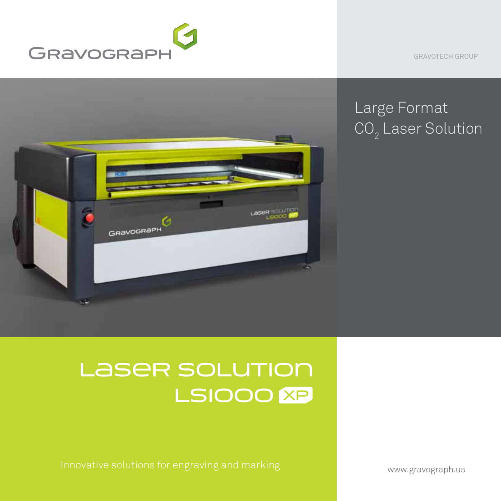

GRAVOTECH GROUP



## Large Format CO $_{\textrm{\tiny{2}}}$  Laser Solution

# LASER SOLUTION LSIOOO<sup>**XP**</sup>

www.gravograph.us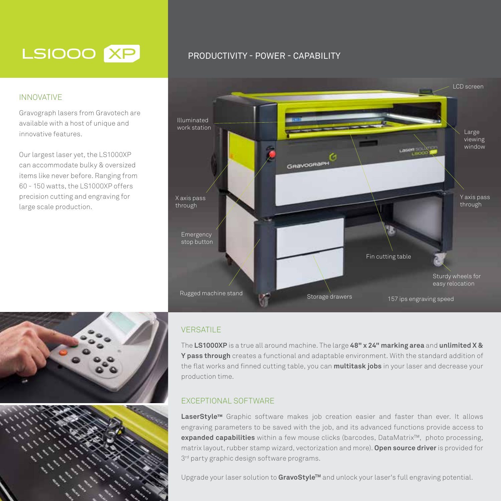## LSIOOO XP

#### INNOVATIVE

Gravograph lasers from Gravotech are available with a host of unique and innovative features.

Our largest laser yet, the LS1000XP can accommodate bulky & oversized items like never before. Ranging from 60 - 150 watts, the LS1000XP offers precision cutting and engraving for large scale production.

### PRODUCTIVITY - POWER - CAPABILITY



#### **VERSATILE**

The **LS1000XP** is a true all around machine. The large **48" x 24" marking area** and **unlimited X & Y pass through** creates a functional and adaptable environment. With the standard addition of the flat works and finned cutting table, you can **multitask jobs** in your laser and decrease your production time.

#### EXCEPTIONAL SOFTWARE

**LaserStyle™** Graphic software makes job creation easier and faster than ever. It allows engraving parameters to be saved with the job, and its advanced functions provide access to **expanded capabilities** within a few mouse clicks (barcodes, DataMatrix™, photo processing, matrix layout, rubber stamp wizard, vectorization and more). **Open source driver** is provided for  $3<sup>rd</sup>$  party graphic design software programs.

Upgrade your laser solution to **GravoStyleTM** and unlock your laser's full engraving potential.

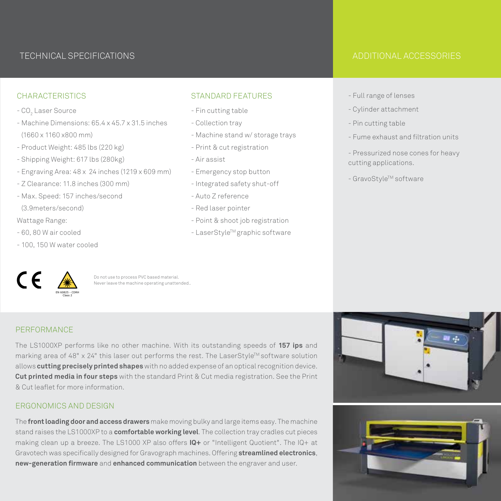### TECHNICAL SPECIFICATIONS ADDITIONAL ACCESSORIES

#### **CHARACTERISTICS**

- CO<sub>2</sub> Laser Source
- Machine Dimensions: 65.4 x 45.7 x 31.5 inches (1660 x 1160 x800 mm)
- Product Weight: 485 lbs (220 kg)
- Shipping Weight: 617 lbs (280kg)
- Engraving Area: 48 x 24 inches (1219 x 609 mm)
- Z Clearance: 11.8 inches (300 mm)
- Max. Speed: 157 inches/second (3.9meters/second)
- Wattage Range:
- 60, 80 W air cooled
- 100, 150 W water cooled

#### STANDARD FEATURES

- Fin cutting table
- Collection tray
- Machine stand w/ storage trays
- Print & cut registration
- Air assist
- Emergency stop button
- Integrated safety shut-off
- Auto Z reference
- Red laser pointer
- Point & shoot job registration
- LaserStyleTM graphic software

- Full range of lenses
- Cylinder attachment
- Pin cutting table
- Fume exhaust and filtration units
- Pressurized nose cones for heavy cutting applications.
- GravoStyle™ software



Do not use to process PVC based material. Never leave the machine operating unattended..

#### PERFORMANCE

The LS1000XP performs like no other machine. With its outstanding speeds of **157 ips** and marking area of 48"  $\times$  24" this laser out performs the rest. The LaserStyle<sup>™</sup> software solution allows **cutting precisely printed shapes** with no added expense of an optical recognition device. **Cut printed media in four steps** with the standard Print & Cut media registration. See the Print & Cut leaflet for more information.

#### ERGONOMICS AND DESIGN

The **front loading door and access drawers** make moving bulky and large items easy. The machine stand raises the LS1000XP to a **comfortable working level**. The collection tray cradles cut pieces making clean up a breeze. The LS1000 XP also offers **IQ+** or "Intelligent Quotient". The IQ+ at Gravotech was specifically designed for Gravograph machines. Offering **streamlined electronics**, **new-generation firmware** and **enhanced communication** between the engraver and user.